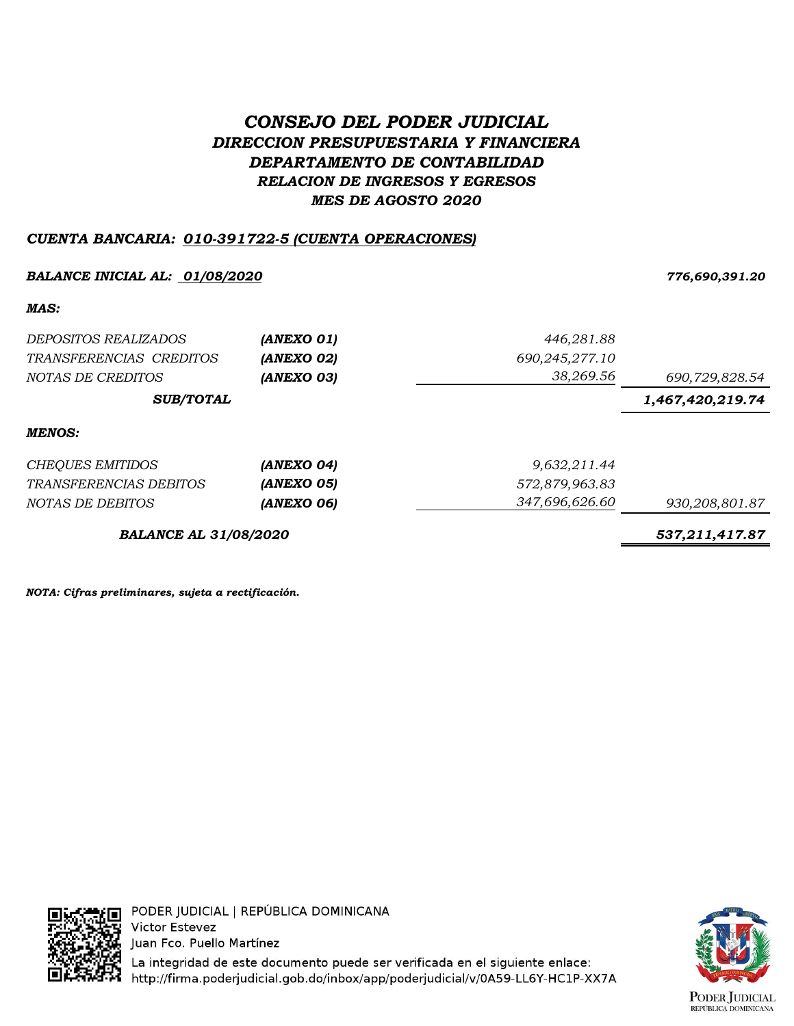# *CONSEJO DEL PODER JUDICIAL DIRECCION PRESUPUESTARIA Y FINANCIERA DEPARTAMENTO DE CONTABILIDAD RELACION DE INGRESOS Y EGRESOS MES DE AGOSTO 2020*

## *CUENTA BANCARIA: 010-391722-5 (CUENTA OPERACIONES)*

### *BALANCE INICIAL AL: 01/08/2020 776,690,391.20*

*MAS:*

| DEPOSITOS REALIZADOS<br>TRANSFERENCIAS CREDITOS | (ANEXO 01)<br>(ANEXO 02) | 446,281.88<br>690,245,277.10 |                  |
|-------------------------------------------------|--------------------------|------------------------------|------------------|
| NOTAS DE CREDITOS                               | (ANEXO 03)               | 38,269.56                    | 690,729,828.54   |
| <b>SUB/TOTAL</b>                                |                          |                              | 1,467,420,219.74 |
| <b>MENOS:</b>                                   |                          |                              |                  |
| <b>CHEQUES EMITIDOS</b>                         | (ANEXO 04)               | 9,632,211.44                 |                  |
| <i>TRANSFERENCIAS DEBITOS</i>                   | (ANEXO 05)               | 572,879,963.83               |                  |
| NOTAS DE DEBITOS                                | (ANEXO 06)               | 347,696,626.60               | 930,208,801.87   |
| <b>BALANCE AL 31/08/2020</b>                    | 537, 211, 417.87         |                              |                  |

*NOTA: Cifras preliminares, sujeta a rectificación.*



La integridad de este documento puede ser verificada en el siguiente enlace: http://firma.poderjudicial.gob.do/inbox/app/poderjudicial/v/0A59-LL6Y-HC1P-XX7A

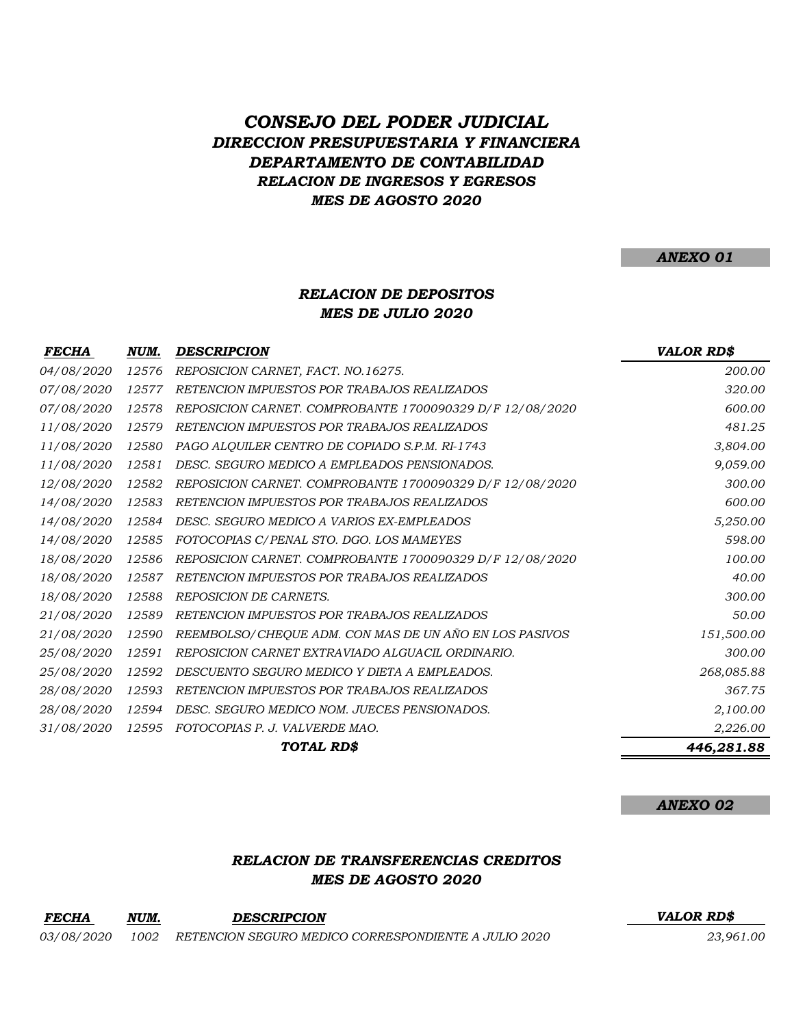# *CONSEJO DEL PODER JUDICIAL DIRECCION PRESUPUESTARIA Y FINANCIERA DEPARTAMENTO DE CONTABILIDAD RELACION DE INGRESOS Y EGRESOS MES DE AGOSTO 2020*

*ANEXO 01*

## *RELACION DE DEPOSITOS MES DE JULIO 2020*

| <b>FECHA</b>      | NUM.  | <b>DESCRIPCION</b>                                       | <b>VALOR RD\$</b> |
|-------------------|-------|----------------------------------------------------------|-------------------|
| <i>04/08/2020</i> | 12576 | REPOSICION CARNET, FACT. NO.16275.                       | 200.00            |
| 07/08/2020        | 12577 | RETENCION IMPUESTOS POR TRABAJOS REALIZADOS              | 320.00            |
| 07/08/2020        | 12578 | REPOSICION CARNET. COMPROBANTE 1700090329 D/F 12/08/2020 | 600.00            |
| 11/08/2020        | 12579 | RETENCION IMPUESTOS POR TRABAJOS REALIZADOS              | 481.25            |
| 11/08/2020        | 12580 | PAGO ALQUILER CENTRO DE COPIADO S.P.M. RI-1743           | 3,804.00          |
| <i>11/08/2020</i> | 12581 | DESC. SEGURO MEDICO A EMPLEADOS PENSIONADOS.             | 9,059.00          |
| 12/08/2020        | 12582 | REPOSICION CARNET. COMPROBANTE 1700090329 D/F 12/08/2020 | 300.00            |
| 14/08/2020        | 12583 | RETENCION IMPUESTOS POR TRABAJOS REALIZADOS              | 600.00            |
| 14/08/2020        | 12584 | DESC. SEGURO MEDICO A VARIOS EX-EMPLEADOS                | 5,250.00          |
| 14/08/2020        | 12585 | FOTOCOPIAS C/PENAL STO. DGO. LOS MAMEYES                 | 598.00            |
| 18/08/2020        | 12586 | REPOSICION CARNET. COMPROBANTE 1700090329 D/F 12/08/2020 | 100.00            |
| 18/08/2020        | 12587 | RETENCION IMPUESTOS POR TRABAJOS REALIZADOS              | 40.00             |
| 18/08/2020        | 12588 | <b>REPOSICION DE CARNETS.</b>                            | 300.00            |
| 21/08/2020        | 12589 | RETENCION IMPUESTOS POR TRABAJOS REALIZADOS              | 50.00             |
| 21/08/2020        | 12590 | REEMBOLSO/CHEQUE ADM. CON MAS DE UN AÑO EN LOS PASIVOS   | 151,500.00        |
| 25/08/2020        | 12591 | REPOSICION CARNET EXTRAVIADO ALGUACIL ORDINARIO.         | 300.00            |
| 25/08/2020        | 12592 | DESCUENTO SEGURO MEDICO Y DIETA A EMPLEADOS.             | 268,085.88        |
| 28/08/2020        | 12593 | RETENCION IMPUESTOS POR TRABAJOS REALIZADOS              | 367.75            |
| 28/08/2020        | 12594 | DESC. SEGURO MEDICO NOM. JUECES PENSIONADOS.             | 2,100.00          |
| 31/08/2020        | 12595 | FOTOCOPIAS P. J. VALVERDE MAO.                           | 2,226.00          |
|                   |       | TOTAL RD\$                                               | 446,281.88        |

*ANEXO 02*

### *RELACION DE TRANSFERENCIAS CREDITOS MES DE AGOSTO 2020*

| <b>FECHA</b>      | NUM. | <b>DESCRIPCION</b>                                   | <b>VALOR RDS</b> |
|-------------------|------|------------------------------------------------------|------------------|
| <i>03/08/2020</i> | 1002 | RETENCION SEGURO MEDICO CORRESPONDIENTE A JULIO 2020 | 23,961.00        |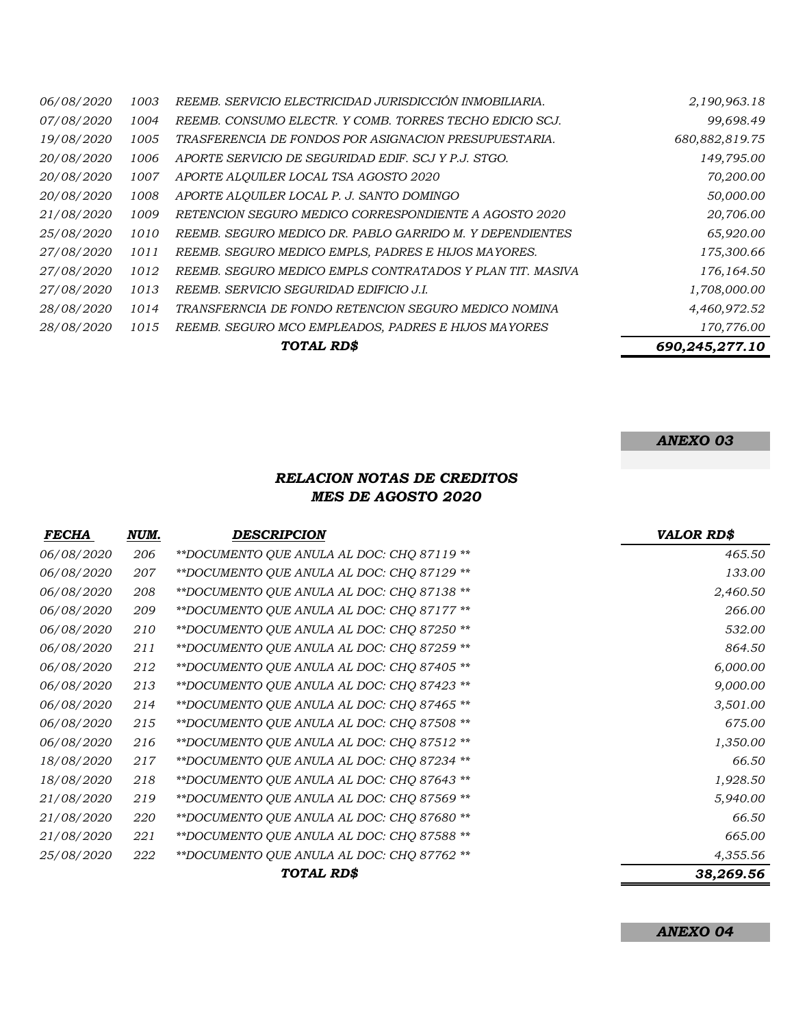|                   |      | TOTAL RD\$                                                | 690,245,277.10 |
|-------------------|------|-----------------------------------------------------------|----------------|
| 28/08/2020        | 1015 | REEMB. SEGURO MCO EMPLEADOS, PADRES E HIJOS MAYORES       | 170,776.00     |
| 28/08/2020        | 1014 | TRANSFERNCIA DE FONDO RETENCION SEGURO MEDICO NOMINA      | 4,460,972.52   |
| 27/08/2020        | 1013 | REEMB. SERVICIO SEGURIDAD EDIFICIO J.I.                   | 1,708,000.00   |
| 27/08/2020        | 1012 | REEMB. SEGURO MEDICO EMPLS CONTRATADOS Y PLAN TIT. MASIVA | 176,164.50     |
| <i>27/08/2020</i> | 1011 | REEMB. SEGURO MEDICO EMPLS, PADRES E HIJOS MAYORES.       | 175,300.66     |
| 25/08/2020        | 1010 | REEMB. SEGURO MEDICO DR. PABLO GARRIDO M. Y DEPENDIENTES  | 65,920.00      |
| 21/08/2020        | 1009 | RETENCION SEGURO MEDICO CORRESPONDIENTE A AGOSTO 2020     | 20,706.00      |
| 20/08/2020        | 1008 | APORTE ALQUILER LOCAL P. J. SANTO DOMINGO                 | 50,000.00      |
| 20/08/2020        | 1007 | APORTE ALQUILER LOCAL TSA AGOSTO 2020                     | 70,200.00      |
| 20/08/2020        | 1006 | APORTE SERVICIO DE SEGURIDAD EDIF. SCJ Y P.J. STGO.       | 149,795.00     |
| 19/08/2020        | 1005 | TRASFERENCIA DE FONDOS POR ASIGNACION PRESUPUESTARIA.     | 680,882,819.75 |
| <i>07/08/2020</i> | 1004 | REEMB. CONSUMO ELECTR. Y COMB. TORRES TECHO EDICIO SCJ.   | 99,698.49      |
| 06/08/2020        | 1003 | REEMB. SERVICIO ELECTRICIDAD JURISDICCIÓN INMOBILIARIA.   | 2,190,963.18   |

# *ANEXO 03*

### *RELACION NOTAS DE CREDITOS MES DE AGOSTO 2020*

| <b>FECHA</b>      | NUM. | <b>DESCRIPCION</b>                          | <b>VALOR RD\$</b> |
|-------------------|------|---------------------------------------------|-------------------|
| 06/08/2020        | 206  | ** DOCUMENTO QUE ANULA AL DOC: CHQ 87119 ** | 465.50            |
| 06/08/2020        | 207  | **DOCUMENTO QUE ANULA AL DOC: CHQ 87129 **  | 133.00            |
| 06/08/2020        | 208  | **DOCUMENTO QUE ANULA AL DOC: CHQ 87138 **  | 2,460.50          |
| 06/08/2020        | 209  | **DOCUMENTO QUE ANULA AL DOC: CHQ 87177 **  | 266.00            |
| 06/08/2020        | 210  | **DOCUMENTO QUE ANULA AL DOC: CHQ 87250 **  | 532.00            |
| 06/08/2020        | 211  | **DOCUMENTO QUE ANULA AL DOC: CHQ 87259 **  | 864.50            |
| 06/08/2020        | 212  | **DOCUMENTO QUE ANULA AL DOC: CHQ 87405 **  | 6,000.00          |
| 06/08/2020        | 213  | **DOCUMENTO QUE ANULA AL DOC: CHQ 87423 **  | 9,000.00          |
| 06/08/2020        | 214  | **DOCUMENTO QUE ANULA AL DOC: CHQ 87465 **  | 3,501.00          |
| 06/08/2020        | 215  | **DOCUMENTO QUE ANULA AL DOC: CHQ 87508 **  | 675.00            |
| 06/08/2020        | 216  | **DOCUMENTO QUE ANULA AL DOC: CHQ 87512 **  | 1,350.00          |
| <i>18/08/2020</i> | 217  | **DOCUMENTO QUE ANULA AL DOC: CHQ 87234 **  | 66.50             |
| 18/08/2020        | 218  | **DOCUMENTO QUE ANULA AL DOC: CHQ 87643 **  | 1,928.50          |
| 21/08/2020        | 219  | **DOCUMENTO QUE ANULA AL DOC: CHQ 87569 **  | 5,940.00          |
| <i>21/08/2020</i> | 220  | **DOCUMENTO QUE ANULA AL DOC: CHQ 87680 **  | 66.50             |
| 21/08/2020        | 221  | ** DOCUMENTO QUE ANULA AL DOC: CHQ 87588 ** | 665.00            |
| <i>25/08/2020</i> | 222  | **DOCUMENTO QUE ANULA AL DOC: CHQ 87762 **  | 4,355.56          |
|                   |      | TOTAL RD\$                                  | 38,269.56         |

*ANEXO 04*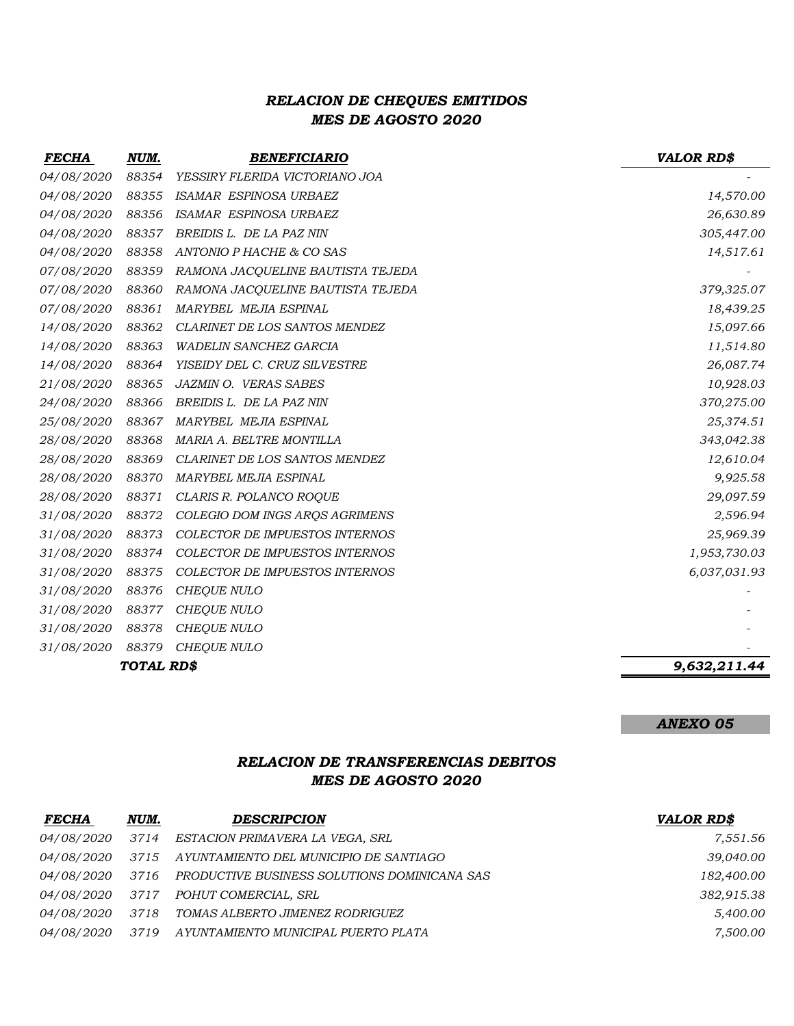## *RELACION DE CHEQUES EMITIDOS MES DE AGOSTO 2020*

| <b>FECHA</b>      | NUM.              | <b>BENEFICIARIO</b>                   | <b>VALOR RD\$</b> |
|-------------------|-------------------|---------------------------------------|-------------------|
| 04/08/2020        | 88354             | YESSIRY FLERIDA VICTORIANO JOA        |                   |
| 04/08/2020        | 88355             | ISAMAR ESPINOSA URBAEZ                | 14,570.00         |
| 04/08/2020        | 88356             | ISAMAR ESPINOSA URBAEZ                | 26,630.89         |
| 04/08/2020        | 88357             | BREIDIS L. DE LA PAZ NIN              | 305,447.00        |
| 04/08/2020        | 88358             | ANTONIO P HACHE & CO SAS              | 14,517.61         |
| 07/08/2020        | 88359             | RAMONA JACQUELINE BAUTISTA TEJEDA     |                   |
| 07/08/2020        | 88360             | RAMONA JACQUELINE BAUTISTA TEJEDA     | 379,325.07        |
| 07/08/2020        | 88361             | MARYBEL MEJIA ESPINAL                 | 18,439.25         |
| 14/08/2020        | 88362             | CLARINET DE LOS SANTOS MENDEZ         | 15,097.66         |
| <i>14/08/2020</i> | 88363             | <b>WADELIN SANCHEZ GARCIA</b>         | 11,514.80         |
| 14/08/2020        | 88364             | YISEIDY DEL C. CRUZ SILVESTRE         | 26,087.74         |
| 21/08/2020        | 88365             | JAZMIN O. VERAS SABES                 | 10,928.03         |
| 24/08/2020        | 88366             | BREIDIS L. DE LA PAZ NIN              | 370,275.00        |
| <i>25/08/2020</i> | 88367             | MARYBEL MEJIA ESPINAL                 | 25,374.51         |
| 28/08/2020        | 88368             | MARIA A. BELTRE MONTILLA              | 343,042.38        |
| 28/08/2020        | 88369             | CLARINET DE LOS SANTOS MENDEZ         | 12,610.04         |
| 28/08/2020        | 88370             | MARYBEL MEJIA ESPINAL                 | 9,925.58          |
| 28/08/2020        | 88371             | CLARIS R. POLANCO ROQUE               | 29,097.59         |
| 31/08/2020        | 88372             | COLEGIO DOM INGS ARQS AGRIMENS        | 2,596.94          |
| 31/08/2020        | 88373             | <b>COLECTOR DE IMPUESTOS INTERNOS</b> | 25,969.39         |
| 31/08/2020        | 88374             | COLECTOR DE IMPUESTOS INTERNOS        | 1,953,730.03      |
| 31/08/2020        | 88375             | COLECTOR DE IMPUESTOS INTERNOS        | 6,037,031.93      |
| 31/08/2020        | 88376             | <b>CHEQUE NULO</b>                    |                   |
| 31/08/2020        | 88377             | CHEQUE NULO                           |                   |
| 31/08/2020        | 88378             | <b>CHEQUE NULO</b>                    |                   |
| 31/08/2020        | 88379             | CHEQUE NULO                           |                   |
|                   | <b>TOTAL RD\$</b> |                                       | 9,632,211.44      |

*ANEXO 05*

## *RELACION DE TRANSFERENCIAS DEBITOS MES DE AGOSTO 2020*

| <b>FECHA</b>      | NUM. | <b>DESCRIPCION</b>                           | <b>VALOR RD\$</b> |
|-------------------|------|----------------------------------------------|-------------------|
| <i>04/08/2020</i> | 3714 | ESTACION PRIMAVERA LA VEGA, SRL              | 7,551.56          |
| <i>04/08/2020</i> | 3715 | AYUNTAMIENTO DEL MUNICIPIO DE SANTIAGO       | 39,040.00         |
| <i>04/08/2020</i> | 3716 | PRODUCTIVE BUSINESS SOLUTIONS DOMINICANA SAS | 182,400.00        |
| <i>04/08/2020</i> | 3717 | POHUT COMERCIAL, SRL                         | 382,915.38        |
| <i>04/08/2020</i> | 3718 | TOMAS ALBERTO JIMENEZ RODRIGUEZ              | 5,400.00          |
| <i>04/08/2020</i> | 3719 | AYUNTAMIENTO MUNICIPAL PUERTO PLATA          | 7,500.00          |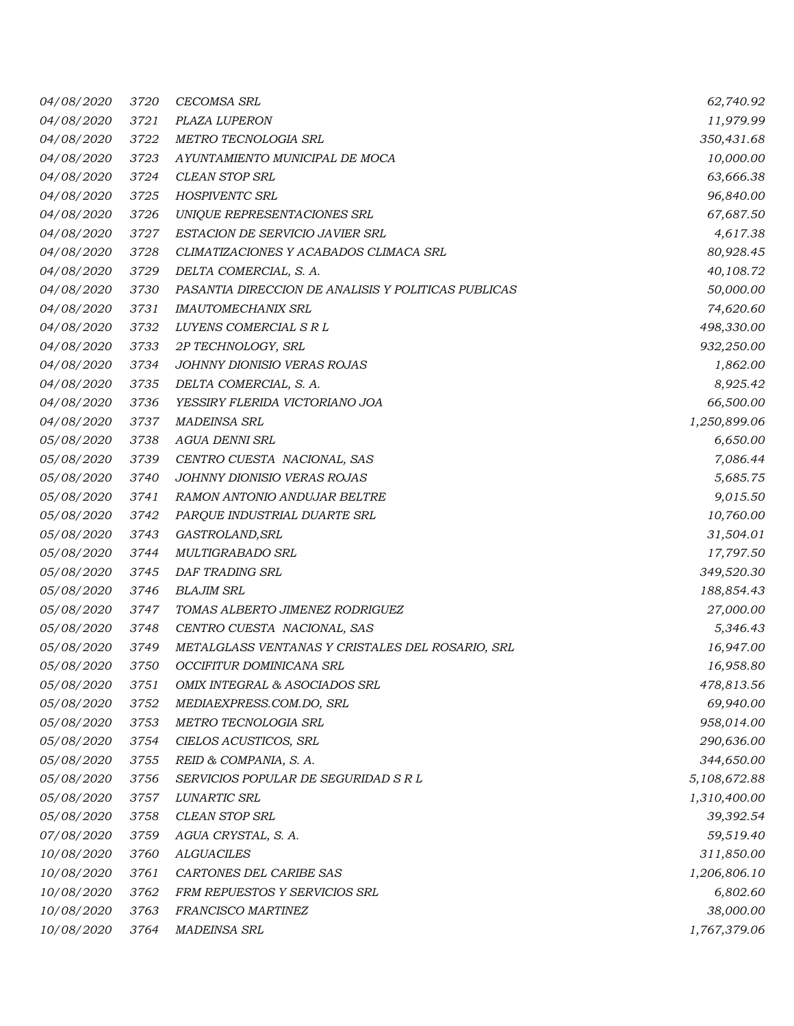| 04/08/2020        | 3720 | <b>CECOMSA SRL</b>                                  | 62,740.92    |
|-------------------|------|-----------------------------------------------------|--------------|
| 04/08/2020        | 3721 | PLAZA LUPERON                                       | 11,979.99    |
| 04/08/2020        | 3722 | METRO TECNOLOGIA SRL                                | 350,431.68   |
| 04/08/2020        | 3723 | AYUNTAMIENTO MUNICIPAL DE MOCA                      | 10,000.00    |
| 04/08/2020        | 3724 | <b>CLEAN STOP SRL</b>                               | 63,666.38    |
| 04/08/2020        | 3725 | <b>HOSPIVENTC SRL</b>                               | 96,840.00    |
| 04/08/2020        | 3726 | UNIQUE REPRESENTACIONES SRL                         | 67,687.50    |
| <i>04/08/2020</i> | 3727 | ESTACION DE SERVICIO JAVIER SRL                     | 4,617.38     |
| 04/08/2020        | 3728 | CLIMATIZACIONES Y ACABADOS CLIMACA SRL              | 80,928.45    |
| 04/08/2020        | 3729 | DELTA COMERCIAL, S. A.                              | 40,108.72    |
| 04/08/2020        | 3730 | PASANTIA DIRECCION DE ANALISIS Y POLITICAS PUBLICAS | 50,000.00    |
| 04/08/2020        | 3731 | <b>IMAUTOMECHANIX SRL</b>                           | 74,620.60    |
| 04/08/2020        | 3732 | LUYENS COMERCIAL S R L                              | 498,330.00   |
| 04/08/2020        | 3733 | 2P TECHNOLOGY, SRL                                  | 932,250.00   |
| 04/08/2020        | 3734 | JOHNNY DIONISIO VERAS ROJAS                         | 1,862.00     |
| 04/08/2020        | 3735 | DELTA COMERCIAL, S. A.                              | 8,925.42     |
| 04/08/2020        | 3736 | YESSIRY FLERIDA VICTORIANO JOA                      | 66,500.00    |
| 04/08/2020        | 3737 | <b>MADEINSA SRL</b>                                 | 1,250,899.06 |
| 05/08/2020        | 3738 | <b>AGUA DENNI SRL</b>                               | 6,650.00     |
| 05/08/2020        | 3739 | CENTRO CUESTA NACIONAL, SAS                         | 7,086.44     |
| 05/08/2020        | 3740 | JOHNNY DIONISIO VERAS ROJAS                         | 5,685.75     |
| 05/08/2020        | 3741 | RAMON ANTONIO ANDUJAR BELTRE                        | 9,015.50     |
| 05/08/2020        | 3742 | PARQUE INDUSTRIAL DUARTE SRL                        | 10,760.00    |
| 05/08/2020        | 3743 | GASTROLAND, SRL                                     | 31,504.01    |
| 05/08/2020        | 3744 | MULTIGRABADO SRL                                    | 17,797.50    |
| 05/08/2020        | 3745 | DAF TRADING SRL                                     | 349,520.30   |
| 05/08/2020        | 3746 | <b>BLAJIM SRL</b>                                   | 188,854.43   |
| 05/08/2020        | 3747 | TOMAS ALBERTO JIMENEZ RODRIGUEZ                     | 27,000.00    |
| <i>05/08/2020</i> | 3748 | CENTRO CUESTA NACIONAL, SAS                         | 5,346.43     |
| 05/08/2020        | 3749 | METALGLASS VENTANAS Y CRISTALES DEL ROSARIO, SRL    | 16,947.00    |
| 05/08/2020        | 3750 | OCCIFITUR DOMINICANA SRL                            | 16,958.80    |
| 05/08/2020        | 3751 | OMIX INTEGRAL & ASOCIADOS SRL                       | 478,813.56   |
| 05/08/2020        | 3752 | MEDIAEXPRESS.COM.DO, SRL                            | 69,940.00    |
| 05/08/2020        | 3753 | METRO TECNOLOGIA SRL                                | 958,014.00   |
| 05/08/2020        | 3754 | CIELOS ACUSTICOS, SRL                               | 290,636.00   |
| 05/08/2020        | 3755 | REID & COMPANIA, S. A.                              | 344,650.00   |
| 05/08/2020        | 3756 | SERVICIOS POPULAR DE SEGURIDAD S R L                | 5,108,672.88 |
| 05/08/2020        | 3757 | LUNARTIC SRL                                        | 1,310,400.00 |
| 05/08/2020        | 3758 | <b>CLEAN STOP SRL</b>                               | 39,392.54    |
| 07/08/2020        | 3759 | AGUA CRYSTAL, S. A.                                 | 59,519.40    |
| 10/08/2020        | 3760 | <b>ALGUACILES</b>                                   | 311,850.00   |
| 10/08/2020        | 3761 | CARTONES DEL CARIBE SAS                             | 1,206,806.10 |
| 10/08/2020        | 3762 | FRM REPUESTOS Y SERVICIOS SRL                       | 6,802.60     |
| 10/08/2020        | 3763 | FRANCISCO MARTINEZ                                  | 38,000.00    |
| 10/08/2020        | 3764 | <b>MADEINSA SRL</b>                                 | 1,767,379.06 |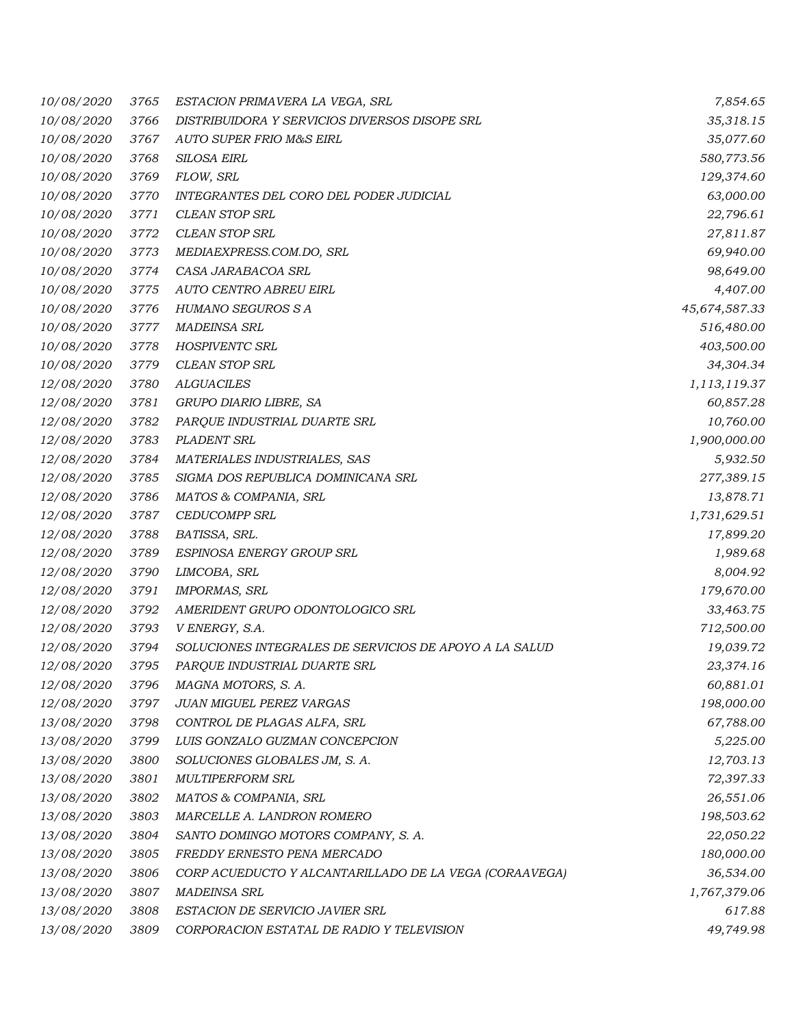| 10/08/2020        | 3765     | ESTACION PRIMAVERA LA VEGA, SRL                        | 7,854.65      |
|-------------------|----------|--------------------------------------------------------|---------------|
| 10/08/2020        | 3766     | DISTRIBUIDORA Y SERVICIOS DIVERSOS DISOPE SRL          | 35,318.15     |
| 10/08/2020        | 3767     | AUTO SUPER FRIO M&S EIRL                               | 35,077.60     |
| 10/08/2020        | 3768     | SILOSA EIRL                                            | 580,773.56    |
| 10/08/2020        | 3769     | FLOW, SRL                                              | 129,374.60    |
| 10/08/2020        | 3770     | INTEGRANTES DEL CORO DEL PODER JUDICIAL                | 63,000.00     |
| 10/08/2020        | 3771     | <b>CLEAN STOP SRL</b>                                  | 22,796.61     |
| 10/08/2020        | 3772     | <b>CLEAN STOP SRL</b>                                  | 27,811.87     |
| 10/08/2020        | 3773     | MEDIAEXPRESS.COM.DO, SRL                               | 69,940.00     |
| 10/08/2020        | 3774     | CASA JARABACOA SRL                                     | 98,649.00     |
| 10/08/2020        | 3775     | AUTO CENTRO ABREU EIRL                                 | 4,407.00      |
| 10/08/2020        | 3776     | HUMANO SEGUROS S A                                     | 45,674,587.33 |
| 10/08/2020        | 3777     | <b>MADEINSA SRL</b>                                    | 516,480.00    |
| 10/08/2020        | 3778     | HOSPIVENTC SRL                                         | 403,500.00    |
| 10/08/2020        | 3779     | <b>CLEAN STOP SRL</b>                                  | 34,304.34     |
| 12/08/2020        | 3780     | <b>ALGUACILES</b>                                      | 1,113,119.37  |
| 12/08/2020        | $3781\,$ | GRUPO DIARIO LIBRE, SA                                 | 60,857.28     |
| 12/08/2020        | 3782     | PARQUE INDUSTRIAL DUARTE SRL                           | 10,760.00     |
| 12/08/2020        | 3783     | PLADENT SRL                                            | 1,900,000.00  |
| 12/08/2020        | 3784     | MATERIALES INDUSTRIALES, SAS                           | 5,932.50      |
| 12/08/2020        | 3785     | SIGMA DOS REPUBLICA DOMINICANA SRL                     | 277,389.15    |
| 12/08/2020        | 3786     | MATOS & COMPANIA, SRL                                  | 13,878.71     |
| 12/08/2020        | 3787     | CEDUCOMPP SRL                                          | 1,731,629.51  |
| 12/08/2020        | 3788     | BATISSA, SRL.                                          | 17,899.20     |
| 12/08/2020        | 3789     | ESPINOSA ENERGY GROUP SRL                              | 1,989.68      |
| <i>12/08/2020</i> | 3790     | LIMCOBA, SRL                                           | 8,004.92      |
| 12/08/2020        | 3791     | <b>IMPORMAS, SRL</b>                                   | 179,670.00    |
| 12/08/2020        | 3792     | AMERIDENT GRUPO ODONTOLOGICO SRL                       | 33,463.75     |
| 12/08/2020        | 3793     | V ENERGY, S.A.                                         | 712,500.00    |
| 12/08/2020        | 3794     | SOLUCIONES INTEGRALES DE SERVICIOS DE APOYO A LA SALUD | 19,039.72     |
| 12/08/2020        | 3795     | PARQUE INDUSTRIAL DUARTE SRL                           | 23,374.16     |
| 12/08/2020        | 3796     | MAGNA MOTORS, S.A.                                     | 60,881.01     |
| 12/08/2020        | 3797     | JUAN MIGUEL PEREZ VARGAS                               | 198,000.00    |
| 13/08/2020        | 3798     | CONTROL DE PLAGAS ALFA, SRL                            | 67,788.00     |
| 13/08/2020        | 3799     | LUIS GONZALO GUZMAN CONCEPCION                         | 5,225.00      |
| 13/08/2020        | 3800     | SOLUCIONES GLOBALES JM, S. A.                          | 12,703.13     |
| 13/08/2020        | 3801     | <b>MULTIPERFORM SRL</b>                                | 72,397.33     |
| 13/08/2020        | 3802     | MATOS & COMPANIA, SRL                                  | 26,551.06     |
| 13/08/2020        | 3803     | MARCELLE A. LANDRON ROMERO                             | 198,503.62    |
| 13/08/2020        | 3804     | SANTO DOMINGO MOTORS COMPANY, S. A.                    | 22,050.22     |
| 13/08/2020        | 3805     | FREDDY ERNESTO PENA MERCADO                            | 180,000.00    |
| 13/08/2020        | 3806     | CORP ACUEDUCTO Y ALCANTARILLADO DE LA VEGA (CORAAVEGA) | 36,534.00     |
| 13/08/2020        | 3807     | <b>MADEINSA SRL</b>                                    | 1,767,379.06  |
| 13/08/2020        | 3808     | ESTACION DE SERVICIO JAVIER SRL                        | 617.88        |
| 13/08/2020        | 3809     | CORPORACION ESTATAL DE RADIO Y TELEVISION              | 49,749.98     |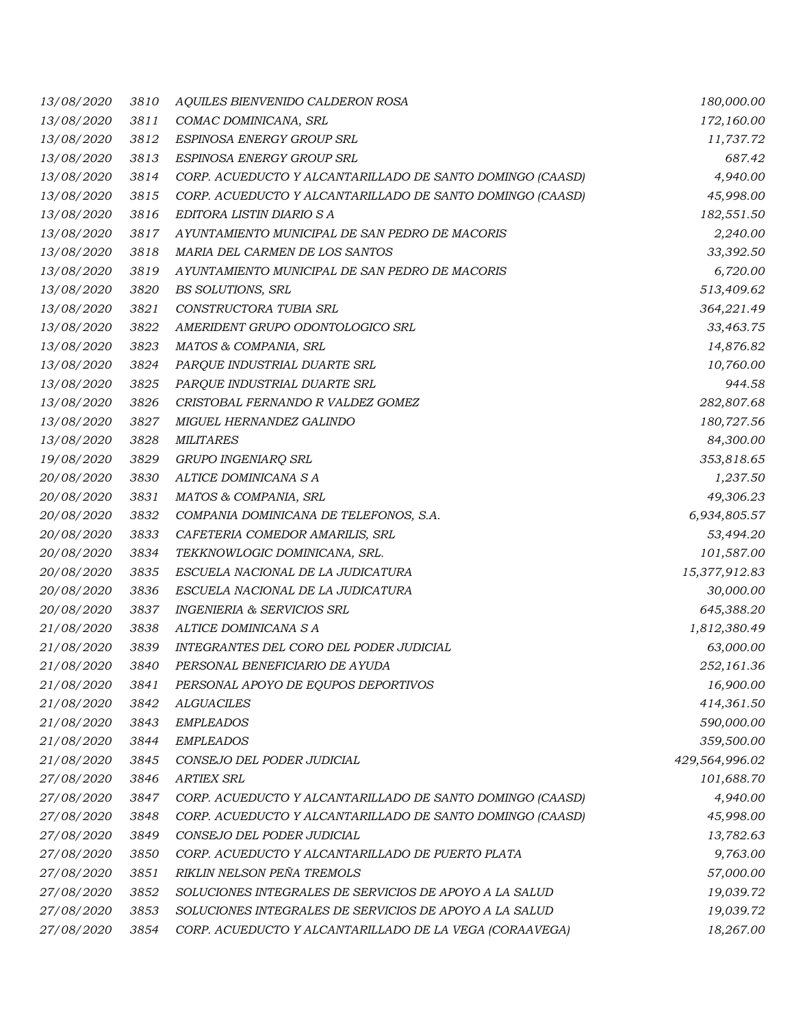| 13/08/2020        | 3810 | AQUILES BIENVENIDO CALDERON ROSA                          | 180,000.00     |
|-------------------|------|-----------------------------------------------------------|----------------|
| 13/08/2020        | 3811 | COMAC DOMINICANA, SRL                                     | 172,160.00     |
| 13/08/2020        | 3812 | ESPINOSA ENERGY GROUP SRL                                 | 11,737.72      |
| 13/08/2020        | 3813 | ESPINOSA ENERGY GROUP SRL                                 | 687.42         |
| 13/08/2020        | 3814 | CORP. ACUEDUCTO Y ALCANTARILLADO DE SANTO DOMINGO (CAASD) | 4,940.00       |
| 13/08/2020        | 3815 | CORP. ACUEDUCTO Y ALCANTARILLADO DE SANTO DOMINGO (CAASD) | 45,998.00      |
| 13/08/2020        | 3816 | EDITORA LISTIN DIARIO S A                                 | 182,551.50     |
| <i>13/08/2020</i> | 3817 | AYUNTAMIENTO MUNICIPAL DE SAN PEDRO DE MACORIS            | 2,240.00       |
| 13/08/2020        | 3818 | MARIA DEL CARMEN DE LOS SANTOS                            | 33,392.50      |
| 13/08/2020        | 3819 | AYUNTAMIENTO MUNICIPAL DE SAN PEDRO DE MACORIS            | 6,720.00       |
| 13/08/2020        | 3820 | BS SOLUTIONS, SRL                                         | 513,409.62     |
| 13/08/2020        | 3821 | CONSTRUCTORA TUBIA SRL                                    | 364,221.49     |
| 13/08/2020        | 3822 | AMERIDENT GRUPO ODONTOLOGICO SRL                          | 33,463.75      |
| 13/08/2020        | 3823 | MATOS & COMPANIA, SRL                                     | 14,876.82      |
| 13/08/2020        | 3824 | PARQUE INDUSTRIAL DUARTE SRL                              | 10,760.00      |
| 13/08/2020        | 3825 | PARQUE INDUSTRIAL DUARTE SRL                              | 944.58         |
| 13/08/2020        | 3826 | CRISTOBAL FERNANDO R VALDEZ GOMEZ                         | 282,807.68     |
| 13/08/2020        | 3827 | MIGUEL HERNANDEZ GALINDO                                  | 180,727.56     |
| 13/08/2020        | 3828 | <b>MILITARES</b>                                          | 84,300.00      |
| 19/08/2020        | 3829 | GRUPO INGENIARQ SRL                                       | 353,818.65     |
| 20/08/2020        | 3830 | ALTICE DOMINICANA S A                                     | 1,237.50       |
| 20/08/2020        | 3831 | MATOS & COMPANIA, SRL                                     | 49,306.23      |
| 20/08/2020        | 3832 | COMPANIA DOMINICANA DE TELEFONOS, S.A.                    | 6,934,805.57   |
| 20/08/2020        | 3833 | CAFETERIA COMEDOR AMARILIS, SRL                           | 53,494.20      |
| 20/08/2020        | 3834 | TEKKNOWLOGIC DOMINICANA, SRL.                             | 101,587.00     |
| 20/08/2020        | 3835 | ESCUELA NACIONAL DE LA JUDICATURA                         | 15,377,912.83  |
| 20/08/2020        | 3836 | ESCUELA NACIONAL DE LA JUDICATURA                         | 30,000.00      |
| 20/08/2020        | 3837 | <b>INGENIERIA &amp; SERVICIOS SRL</b>                     | 645,388.20     |
| 21/08/2020        | 3838 | ALTICE DOMINICANA S A                                     | 1,812,380.49   |
| 21/08/2020        | 3839 | INTEGRANTES DEL CORO DEL PODER JUDICIAL                   | 63,000.00      |
| 21/08/2020        | 3840 | PERSONAL BENEFICIARIO DE AYUDA                            | 252,161.36     |
| 21/08/2020        | 3841 | PERSONAL APOYO DE EQUPOS DEPORTIVOS                       | 16,900.00      |
| 21/08/2020        | 3842 | <b>ALGUACILES</b>                                         | 414,361.50     |
| 21/08/2020        | 3843 | <b>EMPLEADOS</b>                                          | 590,000.00     |
| 21/08/2020        | 3844 | <b>EMPLEADOS</b>                                          | 359,500.00     |
| 21/08/2020        | 3845 | CONSEJO DEL PODER JUDICIAL                                | 429,564,996.02 |
| 27/08/2020        | 3846 | <b>ARTIEX SRL</b>                                         | 101,688.70     |
| 27/08/2020        | 3847 | CORP. ACUEDUCTO Y ALCANTARILLADO DE SANTO DOMINGO (CAASD) | 4,940.00       |
| 27/08/2020        | 3848 | CORP. ACUEDUCTO Y ALCANTARILLADO DE SANTO DOMINGO (CAASD) | 45,998.00      |
| 27/08/2020        | 3849 | CONSEJO DEL PODER JUDICIAL                                | 13,782.63      |
| 27/08/2020        | 3850 | CORP. ACUEDUCTO Y ALCANTARILLADO DE PUERTO PLATA          | 9,763.00       |
| 27/08/2020        | 3851 | RIKLIN NELSON PEÑA TREMOLS                                | 57,000.00      |
| 27/08/2020        | 3852 | SOLUCIONES INTEGRALES DE SERVICIOS DE APOYO A LA SALUD    | 19,039.72      |
| 27/08/2020        | 3853 | SOLUCIONES INTEGRALES DE SERVICIOS DE APOYO A LA SALUD    | 19,039.72      |
| 27/08/2020        | 3854 | CORP. ACUEDUCTO Y ALCANTARILLADO DE LA VEGA (CORAAVEGA)   | 18,267.00      |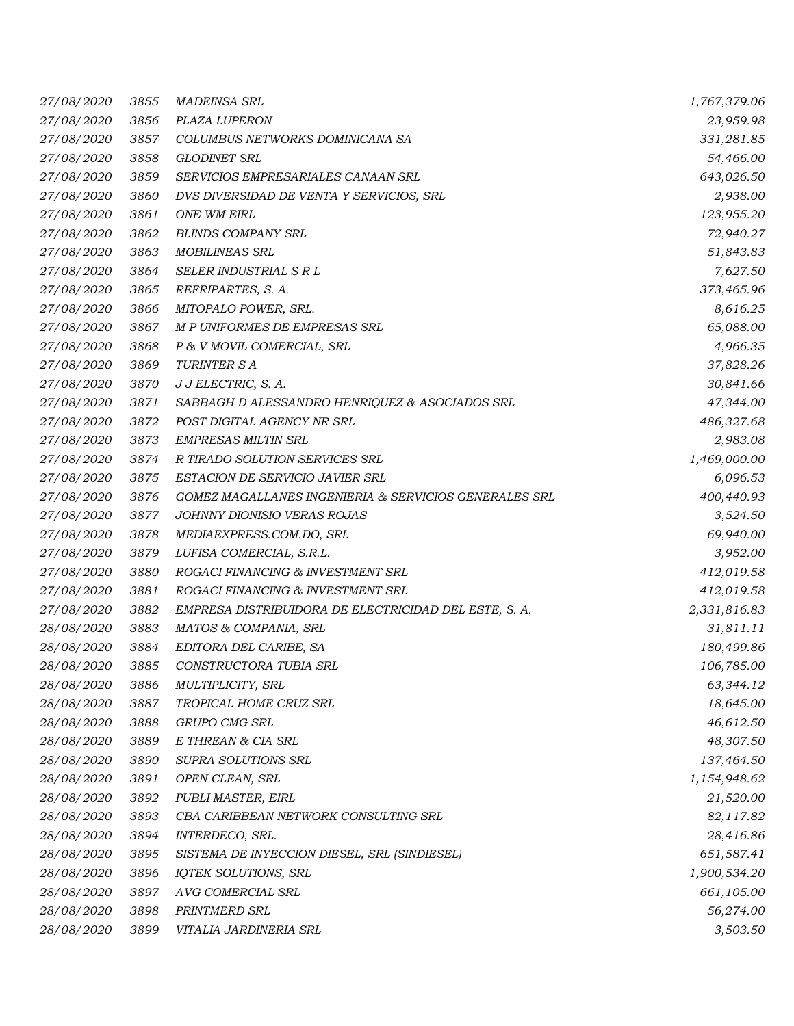| 27/08/2020 | 3855 | <b>MADEINSA SRL</b>                                   | 1,767,379.06 |
|------------|------|-------------------------------------------------------|--------------|
| 27/08/2020 | 3856 | PLAZA LUPERON                                         | 23,959.98    |
| 27/08/2020 | 3857 | COLUMBUS NETWORKS DOMINICANA SA                       | 331,281.85   |
| 27/08/2020 | 3858 | <b>GLODINET SRL</b>                                   | 54,466.00    |
| 27/08/2020 | 3859 | SERVICIOS EMPRESARIALES CANAAN SRL                    | 643,026.50   |
| 27/08/2020 | 3860 | DVS DIVERSIDAD DE VENTA Y SERVICIOS, SRL              | 2,938.00     |
| 27/08/2020 | 3861 | ONE WM EIRL                                           | 123,955.20   |
| 27/08/2020 | 3862 | <b>BLINDS COMPANY SRL</b>                             | 72,940.27    |
| 27/08/2020 | 3863 | <b>MOBILINEAS SRL</b>                                 | 51,843.83    |
| 27/08/2020 | 3864 | SELER INDUSTRIAL S R L                                | 7,627.50     |
| 27/08/2020 | 3865 | REFRIPARTES, S. A.                                    | 373,465.96   |
| 27/08/2020 | 3866 | MITOPALO POWER, SRL.                                  | 8,616.25     |
| 27/08/2020 | 3867 | M P UNIFORMES DE EMPRESAS SRL                         | 65,088.00    |
| 27/08/2020 | 3868 | P & V MOVIL COMERCIAL, SRL                            | 4,966.35     |
| 27/08/2020 | 3869 | <b>TURINTER S A</b>                                   | 37,828.26    |
| 27/08/2020 | 3870 | J J ELECTRIC, S. A.                                   | 30,841.66    |
| 27/08/2020 | 3871 | SABBAGH D ALESSANDRO HENRIQUEZ & ASOCIADOS SRL        | 47,344.00    |
| 27/08/2020 | 3872 | POST DIGITAL AGENCY NR SRL                            | 486,327.68   |
| 27/08/2020 | 3873 | <b>EMPRESAS MILTIN SRL</b>                            | 2,983.08     |
| 27/08/2020 | 3874 | R TIRADO SOLUTION SERVICES SRL                        | 1,469,000.00 |
| 27/08/2020 | 3875 | ESTACION DE SERVICIO JAVIER SRL                       | 6,096.53     |
| 27/08/2020 | 3876 | GOMEZ MAGALLANES INGENIERIA & SERVICIOS GENERALES SRL | 400,440.93   |
| 27/08/2020 | 3877 | JOHNNY DIONISIO VERAS ROJAS                           | 3,524.50     |
| 27/08/2020 | 3878 | MEDIAEXPRESS.COM.DO, SRL                              | 69,940.00    |
| 27/08/2020 | 3879 | LUFISA COMERCIAL, S.R.L.                              | 3,952.00     |
| 27/08/2020 | 3880 | ROGACI FINANCING & INVESTMENT SRL                     | 412,019.58   |
| 27/08/2020 | 3881 | ROGACI FINANCING & INVESTMENT SRL                     | 412,019.58   |
| 27/08/2020 | 3882 | EMPRESA DISTRIBUIDORA DE ELECTRICIDAD DEL ESTE, S. A. | 2,331,816.83 |
| 28/08/2020 | 3883 | MATOS & COMPANIA, SRL                                 | 31,811.11    |
| 28/08/2020 | 3884 | EDITORA DEL CARIBE, SA                                | 180,499.86   |
| 28/08/2020 | 3885 | CONSTRUCTORA TUBIA SRL                                | 106,785.00   |
| 28/08/2020 | 3886 | MULTIPLICITY, SRL                                     | 63,344.12    |
| 28/08/2020 | 3887 | TROPICAL HOME CRUZ SRL                                | 18,645.00    |
| 28/08/2020 | 3888 | GRUPO CMG SRL                                         | 46,612.50    |
| 28/08/2020 | 3889 | E THREAN & CIA SRL                                    | 48,307.50    |
| 28/08/2020 | 3890 | SUPRA SOLUTIONS SRL                                   | 137,464.50   |
| 28/08/2020 | 3891 | OPEN CLEAN, SRL                                       | 1,154,948.62 |
| 28/08/2020 | 3892 | PUBLI MASTER, EIRL                                    | 21,520.00    |
| 28/08/2020 | 3893 | CBA CARIBBEAN NETWORK CONSULTING SRL                  | 82,117.82    |
| 28/08/2020 | 3894 | INTERDECO, SRL.                                       | 28,416.86    |
| 28/08/2020 | 3895 | SISTEMA DE INYECCION DIESEL, SRL (SINDIESEL)          | 651,587.41   |
| 28/08/2020 | 3896 | IQTEK SOLUTIONS, SRL                                  | 1,900,534.20 |
| 28/08/2020 | 3897 | AVG COMERCIAL SRL                                     | 661,105.00   |
| 28/08/2020 | 3898 | PRINTMERD SRL                                         | 56,274.00    |
| 28/08/2020 | 3899 | VITALIA JARDINERIA SRL                                | 3,503.50     |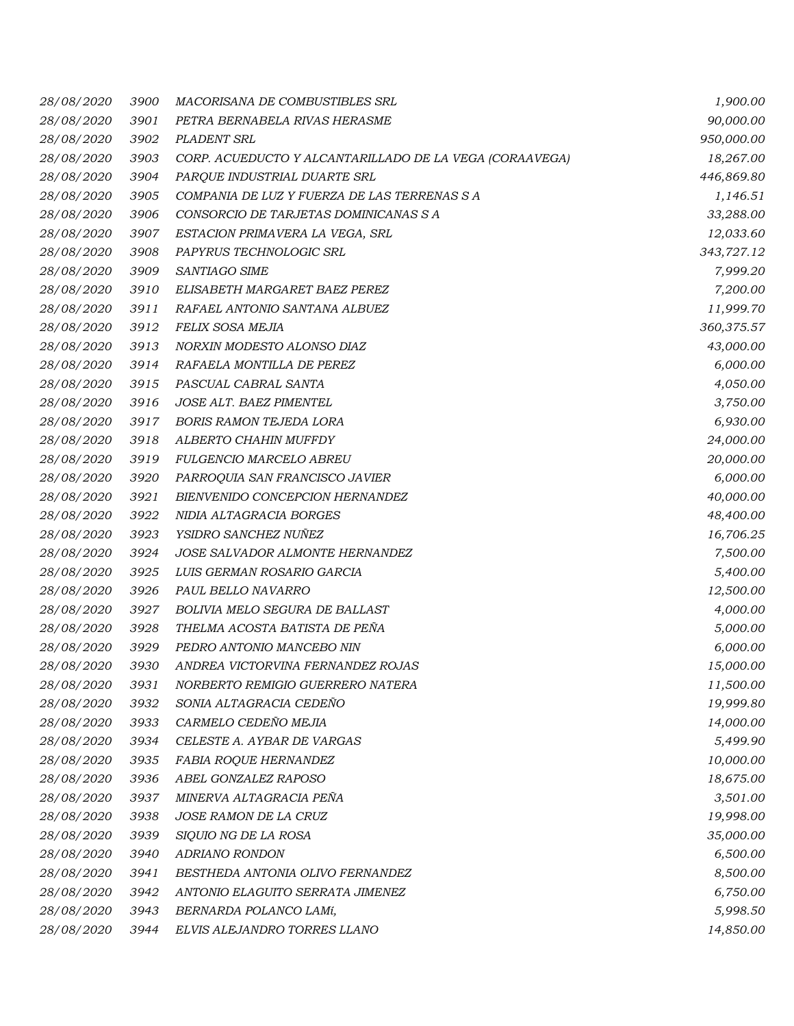| <i>28/08/2020</i> | 3900 | MACORISANA DE COMBUSTIBLES SRL                          | 1,900.00   |
|-------------------|------|---------------------------------------------------------|------------|
| 28/08/2020        | 3901 | PETRA BERNABELA RIVAS HERASME                           | 90,000.00  |
| 28/08/2020        | 3902 | PLADENT SRL                                             | 950,000.00 |
| 28/08/2020        | 3903 | CORP. ACUEDUCTO Y ALCANTARILLADO DE LA VEGA (CORAAVEGA) | 18,267.00  |
| 28/08/2020        | 3904 | PARQUE INDUSTRIAL DUARTE SRL                            | 446,869.80 |
| 28/08/2020        | 3905 | COMPANIA DE LUZ Y FUERZA DE LAS TERRENAS S A            | 1,146.51   |
| 28/08/2020        | 3906 | CONSORCIO DE TARJETAS DOMINICANAS S A                   | 33,288.00  |
| 28/08/2020        | 3907 | ESTACION PRIMAVERA LA VEGA, SRL                         | 12,033.60  |
| 28/08/2020        | 3908 | PAPYRUS TECHNOLOGIC SRL                                 | 343,727.12 |
| 28/08/2020        | 3909 | SANTIAGO SIME                                           | 7,999.20   |
| 28/08/2020        | 3910 | ELISABETH MARGARET BAEZ PEREZ                           | 7,200.00   |
| 28/08/2020        | 3911 | RAFAEL ANTONIO SANTANA ALBUEZ                           | 11,999.70  |
| 28/08/2020        | 3912 | FELIX SOSA MEJIA                                        | 360,375.57 |
| 28/08/2020        | 3913 | NORXIN MODESTO ALONSO DIAZ                              | 43,000.00  |
| 28/08/2020        | 3914 | RAFAELA MONTILLA DE PEREZ                               | 6,000.00   |
| 28/08/2020        | 3915 | PASCUAL CABRAL SANTA                                    | 4,050.00   |
| 28/08/2020        | 3916 | JOSE ALT. BAEZ PIMENTEL                                 | 3,750.00   |
| 28/08/2020        | 3917 | <b>BORIS RAMON TEJEDA LORA</b>                          | 6,930.00   |
| 28/08/2020        | 3918 | ALBERTO CHAHIN MUFFDY                                   | 24,000.00  |
| 28/08/2020        | 3919 | FULGENCIO MARCELO ABREU                                 | 20,000.00  |
| 28/08/2020        | 3920 | PARROQUIA SAN FRANCISCO JAVIER                          | 6,000.00   |
| 28/08/2020        | 3921 | BIENVENIDO CONCEPCION HERNANDEZ                         | 40,000.00  |
| 28/08/2020        | 3922 | NIDIA ALTAGRACIA BORGES                                 | 48,400.00  |
| 28/08/2020        | 3923 | YSIDRO SANCHEZ NUÑEZ                                    | 16,706.25  |
| 28/08/2020        | 3924 | JOSE SALVADOR ALMONTE HERNANDEZ                         | 7,500.00   |
| 28/08/2020        | 3925 | LUIS GERMAN ROSARIO GARCIA                              | 5,400.00   |
| 28/08/2020        | 3926 | PAUL BELLO NAVARRO                                      | 12,500.00  |
| 28/08/2020        | 3927 | BOLIVIA MELO SEGURA DE BALLAST                          | 4,000.00   |
| 28/08/2020        | 3928 | THELMA ACOSTA BATISTA DE PEÑA                           | 5,000.00   |
| 28/08/2020        | 3929 | PEDRO ANTONIO MANCEBO NIN                               | 6,000.00   |
| 28/08/2020        | 3930 | ANDREA VICTORVINA FERNANDEZ ROJAS                       | 15,000.00  |
| 28/08/2020        | 3931 | NORBERTO REMIGIO GUERRERO NATERA                        | 11,500.00  |
| 28/08/2020        | 3932 | SONIA ALTAGRACIA CEDEÑO                                 | 19,999.80  |
| 28/08/2020        | 3933 | CARMELO CEDEÑO MEJIA                                    | 14,000.00  |
| 28/08/2020        | 3934 | CELESTE A. AYBAR DE VARGAS                              | 5,499.90   |
| 28/08/2020        | 3935 | <b>FABIA ROQUE HERNANDEZ</b>                            | 10,000.00  |
| 28/08/2020        | 3936 | ABEL GONZALEZ RAPOSO                                    | 18,675.00  |
| 28/08/2020        | 3937 | MINERVA ALTAGRACIA PEÑA                                 | 3,501.00   |
| 28/08/2020        | 3938 | JOSE RAMON DE LA CRUZ                                   | 19,998.00  |
| 28/08/2020        | 3939 | SIQUIO NG DE LA ROSA                                    | 35,000.00  |
| 28/08/2020        | 3940 | <b>ADRIANO RONDON</b>                                   | 6,500.00   |
| 28/08/2020        | 3941 | BESTHEDA ANTONIA OLIVO FERNANDEZ                        | 8,500.00   |
| 28/08/2020        | 3942 | ANTONIO ELAGUITO SERRATA JIMENEZ                        | 6,750.00   |
| 28/08/2020        | 3943 | BERNARDA POLANCO LAMí,                                  | 5,998.50   |
| 28/08/2020        | 3944 | ELVIS ALEJANDRO TORRES LLANO                            | 14,850.00  |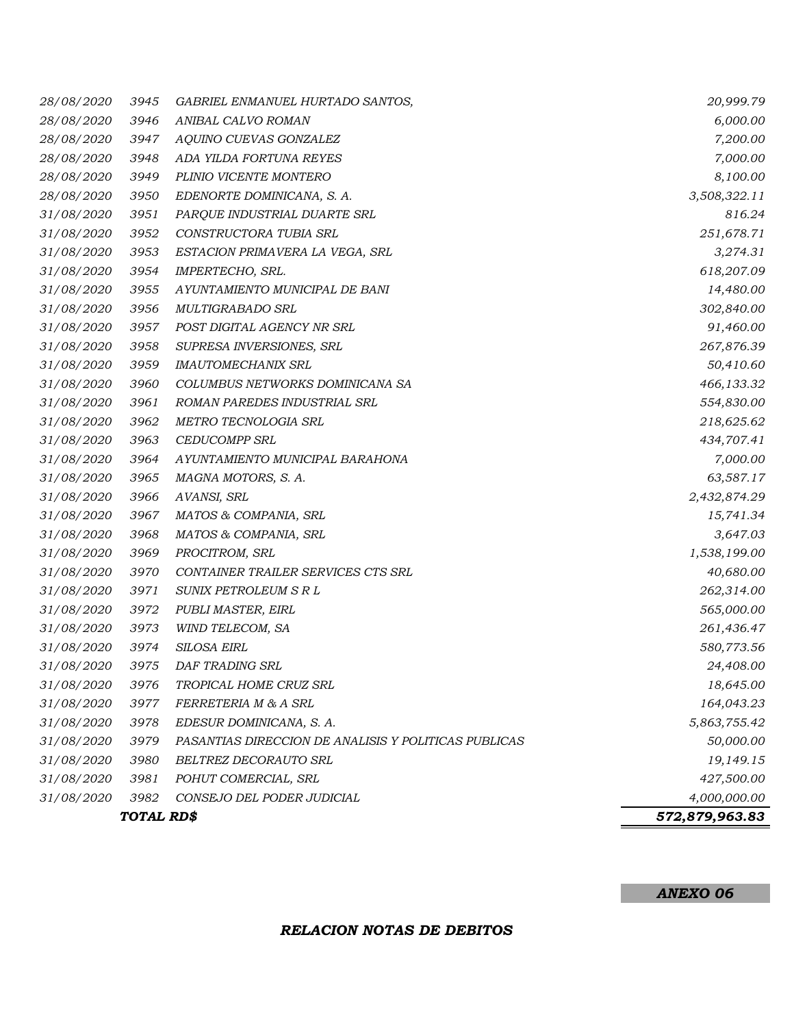|                   | TOTAL RD\$ |                                                      | 572,879,963.83 |
|-------------------|------------|------------------------------------------------------|----------------|
| 31/08/2020        | 3982       | CONSEJO DEL PODER JUDICIAL                           | 4,000,000.00   |
| 31/08/2020        | 3981       | POHUT COMERCIAL, SRL                                 | 427,500.00     |
| 31/08/2020        | 3980       | BELTREZ DECORAUTO SRL                                | 19,149.15      |
| 31/08/2020        | 3979       | PASANTIAS DIRECCION DE ANALISIS Y POLITICAS PUBLICAS | 50,000.00      |
| 31/08/2020        | 3978       | EDESUR DOMINICANA, S. A.                             | 5,863,755.42   |
| 31/08/2020        | 3977       | FERRETERIA M & A SRL                                 | 164,043.23     |
| <i>31/08/2020</i> | 3976       | TROPICAL HOME CRUZ SRL                               | 18,645.00      |
| 31/08/2020        | 3975       | DAF TRADING SRL                                      | 24,408.00      |
| 31/08/2020        | 3974       | <b>SILOSA EIRL</b>                                   | 580,773.56     |
| 31/08/2020        | 3973       | WIND TELECOM, SA                                     | 261,436.47     |
| 31/08/2020        | 3972       | PUBLI MASTER, EIRL                                   | 565,000.00     |
| 31/08/2020        | 3971       | SUNIX PETROLEUM S R L                                | 262,314.00     |
| 31/08/2020        | 3970       | CONTAINER TRAILER SERVICES CTS SRL                   | 40,680.00      |
| 31/08/2020        | 3969       | PROCITROM, SRL                                       | 1,538,199.00   |
| 31/08/2020        | 3968       | MATOS & COMPANIA, SRL                                | 3,647.03       |
| 31/08/2020        | 3967       | MATOS & COMPANIA, SRL                                | 15,741.34      |
| 31/08/2020        | 3966       | AVANSI, SRL                                          | 2,432,874.29   |
| 31/08/2020        | 3965       | MAGNA MOTORS, S. A.                                  | 63,587.17      |
| 31/08/2020        | 3964       | AYUNTAMIENTO MUNICIPAL BARAHONA                      | 7,000.00       |
| 31/08/2020        | 3963       | <b>CEDUCOMPP SRL</b>                                 | 434,707.41     |
| 31/08/2020        | 3962       | METRO TECNOLOGIA SRL                                 | 218,625.62     |
| 31/08/2020        | 3961       | ROMAN PAREDES INDUSTRIAL SRL                         | 554,830.00     |
| 31/08/2020        | 3960       | COLUMBUS NETWORKS DOMINICANA SA                      | 466,133.32     |
| 31/08/2020        | 3959       | <b>IMAUTOMECHANIX SRL</b>                            | 50,410.60      |
| 31/08/2020        | 3958       | SUPRESA INVERSIONES, SRL                             | 267,876.39     |
| 31/08/2020        | 3957       | POST DIGITAL AGENCY NR SRL                           | 91,460.00      |
| 31/08/2020        | 3956       | MULTIGRABADO SRL                                     | 302,840.00     |
| 31/08/2020        | 3955       | AYUNTAMIENTO MUNICIPAL DE BANI                       | 14,480.00      |
| 31/08/2020        | 3954       | IMPERTECHO, SRL.                                     | 618,207.09     |
| 31/08/2020        | 3953       | ESTACION PRIMAVERA LA VEGA, SRL                      | 3,274.31       |
| 31/08/2020        | 3952       | CONSTRUCTORA TUBIA SRL                               | 251,678.71     |
| 31/08/2020        | 3951       | PARQUE INDUSTRIAL DUARTE SRL                         | 816.24         |
| 28/08/2020        | 3950       | EDENORTE DOMINICANA, S. A.                           | 3,508,322.11   |
| 28/08/2020        | 3949       | PLINIO VICENTE MONTERO                               | 8,100.00       |
| 28/08/2020        | 3948       | ADA YILDA FORTUNA REYES                              | 7,000.00       |
| 28/08/2020        | 3947       | AQUINO CUEVAS GONZALEZ                               | 7,200.00       |
| 28/08/2020        | 3946       | ANIBAL CALVO ROMAN                                   | 6,000.00       |
| <i>28/08/2020</i> | 3945       | GABRIEL ENMANUEL HURTADO SANTOS,                     | 20,999.79      |

#### *ANEXO 06*

#### *RELACION NOTAS DE DEBITOS*